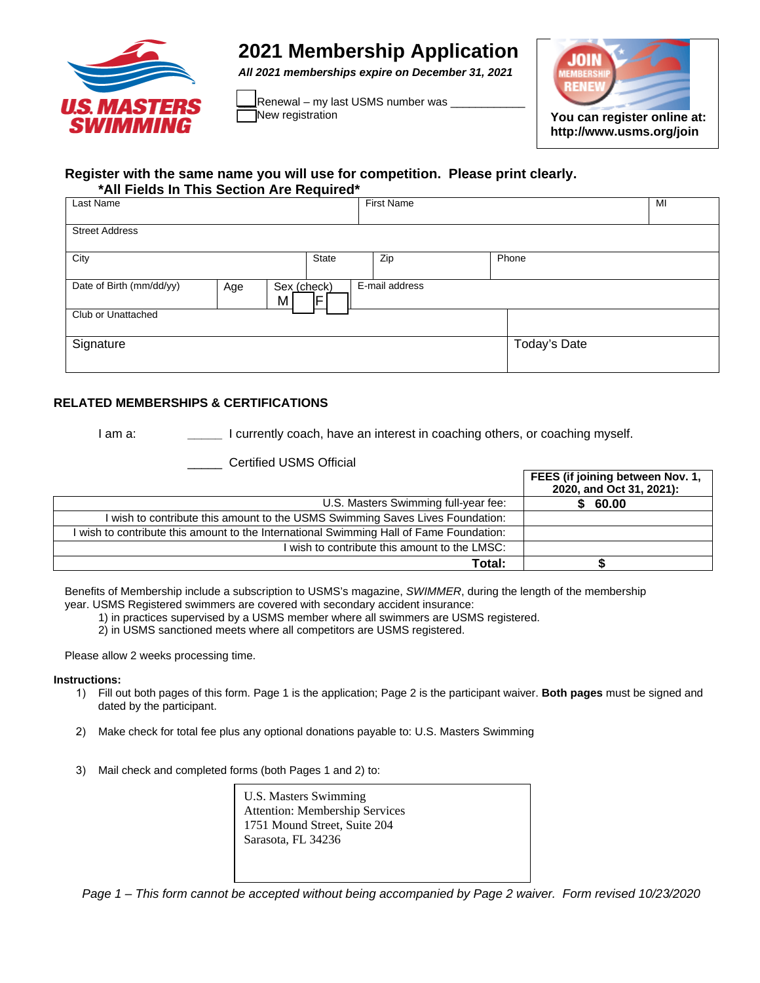

## **2021 Membership Application**

*All 2021 memberships expire on December 31, 2021* 

\_Renewal – my last USMS number was <sub>-</sub><br>\_<br>\_Mew registration



**http://www.usms.org/join**

## **Register with the same name you will use for competition. Please print clearly. \*All Fields In This Section Are Required\***

| Last Name                            |                  | <b>First Name</b> |              | MI |
|--------------------------------------|------------------|-------------------|--------------|----|
| <b>Street Address</b>                |                  |                   |              |    |
| City                                 | State            | Zip               | Phone        |    |
| Date of Birth (mm/dd/yy)<br>Age<br>M | Sex (check)<br>F | E-mail address    |              |    |
| Club or Unattached                   |                  |                   |              |    |
| Signature                            |                  |                   | Today's Date |    |

## **RELATED MEMBERSHIPS & CERTIFICATIONS**

I am a: **\_\_\_\_\_** I currently coach, have an interest in coaching others, or coaching myself.

\_\_\_\_\_ Certified USMS Official

|                                                                                         | FEES (if joining between Nov. 1,<br>2020, and Oct 31, 2021): |
|-----------------------------------------------------------------------------------------|--------------------------------------------------------------|
| U.S. Masters Swimming full-year fee:                                                    | 60.00                                                        |
| I wish to contribute this amount to the USMS Swimming Saves Lives Foundation:           |                                                              |
| I wish to contribute this amount to the International Swimming Hall of Fame Foundation: |                                                              |
| wish to contribute this amount to the LMSC:                                             |                                                              |
| Total:                                                                                  |                                                              |

Benefits of Membership include a subscription to USMS's magazine, *SWIMMER*, during the length of the membership year. USMS Registered swimmers are covered with secondary accident insurance:

1) in practices supervised by a USMS member where all swimmers are USMS registered.

2) in USMS sanctioned meets where all competitors are USMS registered.

Please allow 2 weeks processing time.

## **Instructions:**

- 1) Fill out both pages of this form. Page 1 is the application; Page 2 is the participant waiver. **Both pages** must be signed and dated by the participant.
- 2) Make check for total fee plus any optional donations payable to: U.S. Masters Swimming
- 3) Mail check and completed forms (both Pages 1 and 2) to:

U.S. Masters Swimming Attention: Membership Services 1751 Mound Street, Suite 204 Sarasota, FL 34236

*Page 1 – This form cannot be accepted without being accompanied by Page 2 waiver. Form revised 10/23/2020*